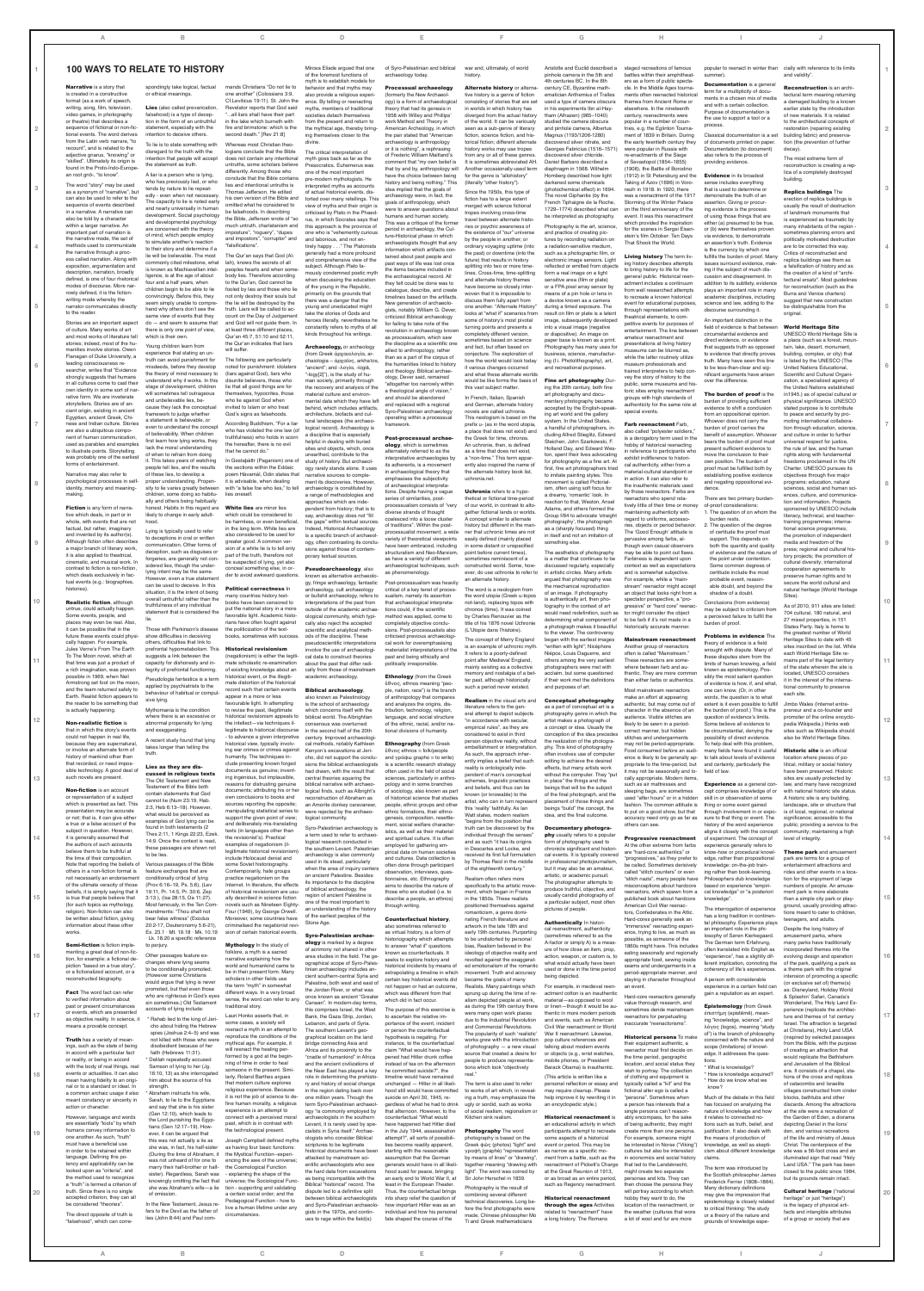**1**

**2**

**3**

**4**

**5**

**6**

**7**

**8**

**9**

**10**

**11**

**12**

**13**

**14**

**15**

**1**

**2**

**3**

**4**

**5**

**6**

**7**

**8**

**9**

**10**

**11**

**12**

**13**

**14**

**15**

| reconstructed biography.<br><b>Fact</b> The word fact can refer<br>to verified information about<br>past or present circumstances<br>or events, which are presented<br>as objective reality. In science,<br>means a provable concept.<br>Truth has a variety of mean-                                                                                    | would argue that lying is never<br>promoted, but that even those<br>who are righteous in God's eyes<br>sin sometimes.) Old Testament<br>accounts of lying include:<br>* Rahab lied to the king of Jeri-<br>cho about hiding the Hebrew<br>spies (Joshua 2:4-5) and was<br>not killed with those who were                                  | scholars in other fields use<br>the term "myth" in somewhat<br>different ways. In a very broad<br>sense, the word can refer to any<br>traditional story.<br>Lauri Honko asserts that, in<br>some cases, a society will<br>reenact a myth in an attempt to<br>reproduce the conditions of the<br>mythical age. For example,           | Palestine, both west and east o<br>the Jordan River, or what was<br>once known as ancient "Greate<br>Canaan". In modern-day terms<br>this comprises Israel, the West<br>Bank, the Gaza Strip, Jordan,<br>Lebanon, and parts of Syria.<br>The southern Levant's geo-<br>graphical location on the land<br>bridge connecting Asia and                                               | certain key historical events did<br>not happen or had an outcome<br>which was different from that<br>which did in fact occur.<br>The purpose of this exercise is<br>to ascertain the relative im-<br>portance of the event, incident<br>or person the counterfactual<br>hypothesis is negating. For<br>instance, to the counterfactual                                         | became the goals of many<br>Realists. Many paintings which<br>sprung up during the time of re-<br>alism depicted people at work,<br>as during the 19th century there<br>were many open work places<br>due to the Industrial Revolution<br>and Commercial Revolutions<br>The popularity of such 'realistic<br>works grew with the introduction | For example, in medieval reen-<br>actment cotton is an inauthentic<br>material-as opposed to wool<br>or linen-though it would be au-<br>thentic in more modern periods<br>and events, such as American<br>Civil War reenactment or World<br>War II reenactment. Likewise<br>pop culture references and                                            | staying in character throughout<br>an event.<br>Hard-core reenactors generally<br>value thorough research, and<br>sometimes deride mainstream<br>reenactors for perpetuating<br>inaccurate "reenactorisms"<br><b>Historical persona</b> To make<br>their equipment authentic, a                                                                                  | A person with considerable<br>experience in a certain field car<br>gain a reputation as an expert<br><b>Epistemology</b> (from Greek<br>έπιστήμη (epistēmē), mean-<br>ing "knowledge, science", and<br>λόγος (logos), meaning "study<br>of") is the branch of philosophy<br>concerned with the nature and       | (or exclusive set of) theme(s)<br>as: Disneyland, Holiday World<br>& Splashin' Safari, Canada's<br>Wonderland, The Holy Land Ex-<br>perience (replicate the architec-<br>ture and themes of 1st century<br>Israel. The attraction is targeted<br>at Christians), Holy Land USA<br>(inspired by selected passages<br>from the Bible, with the purpose                                    |    |
|----------------------------------------------------------------------------------------------------------------------------------------------------------------------------------------------------------------------------------------------------------------------------------------------------------------------------------------------------------|-------------------------------------------------------------------------------------------------------------------------------------------------------------------------------------------------------------------------------------------------------------------------------------------------------------------------------------------|--------------------------------------------------------------------------------------------------------------------------------------------------------------------------------------------------------------------------------------------------------------------------------------------------------------------------------------|-----------------------------------------------------------------------------------------------------------------------------------------------------------------------------------------------------------------------------------------------------------------------------------------------------------------------------------------------------------------------------------|---------------------------------------------------------------------------------------------------------------------------------------------------------------------------------------------------------------------------------------------------------------------------------------------------------------------------------------------------------------------------------|-----------------------------------------------------------------------------------------------------------------------------------------------------------------------------------------------------------------------------------------------------------------------------------------------------------------------------------------------|---------------------------------------------------------------------------------------------------------------------------------------------------------------------------------------------------------------------------------------------------------------------------------------------------------------------------------------------------|------------------------------------------------------------------------------------------------------------------------------------------------------------------------------------------------------------------------------------------------------------------------------------------------------------------------------------------------------------------|-----------------------------------------------------------------------------------------------------------------------------------------------------------------------------------------------------------------------------------------------------------------------------------------------------------------|-----------------------------------------------------------------------------------------------------------------------------------------------------------------------------------------------------------------------------------------------------------------------------------------------------------------------------------------------------------------------------------------|----|
| ings, such as the state of being<br>in accord with a particular fact<br>or reality, or being in accord<br>with the body of real things, rea<br>events or actualities. It can also<br>mean having fidelity to an origi-<br>nal or to a standard or ideal. In<br>a common archaic usage it also<br>meant constancy or sincerity in<br>action or character. | disobedient because of her<br>faith (Hebrews 11:31).<br>* Delilah repeatedly accused<br>Samson of lying to her (Jg.<br>16:10, 13) as she interrogated<br>him about the source of his<br>strength.<br>* Abraham instructs his wife.<br>Sarah, to lie to the Egyptians<br>and say that she is his sister                                    | will reenact the healing per-<br>formed by a god at the begin-<br>ning of time in order to heal<br>someone in the present. Simi-<br>larly, Roland Barthes argues<br>that modern culture explores<br>religious experience. Because<br>it is not the job of science to de-<br>fine human morality, a religious                         | Africa and its proximity to the<br>"cradle of humankind" in Africa<br>and the ancient civilizations of<br>the Near East has played a key<br>role in determining the prehisto<br>ry and history of social change<br>in the region dating back over<br>one million years. Though the<br>term Syro-Palestinian archaeol                                                              | claim "What would have hap-<br>pened had Hitler drunk coffee<br>instead of tea on the afternoon<br>he committed suicide?", the<br>timeline would have remained<br>unchanged - Hitler in all likel<br>hood still would have committed<br>suicide on April 30, 1945, re-<br>gardless of what he had to drink                                                                      | of photography $-$ a new visual<br>source that created a desire for<br>people to produce representa-<br>tions which look "objectively<br>The term is also used to refer<br>to works of art which, in reveal-<br>ing a truth, may emphasize the<br>ugly or sordid, such as works                                                               | talking about modern events<br>or objects (e.g., wrist watches<br>mobile phones, or President<br>Barack Obama) is inauthentic.<br>(This article is written like a<br>personal reflection or essay and<br>may require cleanup. Please<br>help improve it by rewriting it in<br>an encyclopedic style.)                                             | reenactor must first decide on<br>the time period, geographic<br>location, and social status they<br>wish to portray. The collection<br>of clothing and equipment is<br>typically called a "kit" and the<br>fictional alter ego is called a<br>"persona". Sometimes wher<br>a person has interests that a                                                        | scope (limitations) of knowl-<br>edge. It addresses the ques-<br>tions:<br>* What is knowledge?<br>* How is knowledge acquired'<br>* How do we know what we<br>know?<br>Much of the debate in this field<br>has focused on analyzing the                                                                        | of creating an attraction that<br>would replicate the Bethlehem<br>and Jerusalem of the Biblical<br>era. It consists of a chapel, sta-<br>tions of the cross and replicas<br>of catacombs and Israelite<br>villages constructed from cinder<br>blocks, bathtubs and other<br>discards. Among the attractions                                                                            |    |
| However, language and words<br>are essentially "tools" by which<br>humans convey information to<br>one another. As such, "truth"<br>must have a beneficial use<br>in order to be retained within<br>language. Defining this po-<br>tency and applicability can be<br>looked upon as "criteria", and<br>the method used to recognize                      | (Gen 12:10), which leads to<br>the Lord punishing the Egyp-<br>tians (Gen 12:17-19). How-<br>ever, it can be argued that<br>this was not actually a lie as<br>she was, in fact, his half-siste<br>(During the time of Abraham, it<br>was not unheard of for one to<br>marry their half-brother or half-<br>sister). Regardless, Sarah was | experience is an attempt to<br>connect with a perceived mora<br>past, which is in contrast with<br>the technological present.<br>Joseph Campbell defined myths<br>as having four basic functions:<br>the Mystical Function--experi-<br>encing the awe of the universe;<br>the Cosmological Function<br>- explaining the shape of the | ogy "is commonly employed by<br>archaeologists in the southern<br>Levant, it is rarely used by spe-<br>cialists in Syria itself." Archae-<br>ologists who consider Biblical<br>scriptures to be legitimate<br>historical documents have been<br>attacked by mainstream sci-<br>entific archaeologists who see<br>the hard data from excavations<br>as being incompatible with the | that afternoon. However, to the<br>counterfactual "What would<br>have happened had Hitler died<br>in the July 1944, assassination<br>attempt?", all sorts of possibil<br>ties become readily apparent,<br>starting with the reasonable<br>assumption that the German<br>generals would have in all likeli-<br>hood sued for peace, bringing<br>an early end to World War II, at | of social realism, regionalism or<br>Kitchen sink realism.<br><b>Photography</b> The word<br>photography is based on the<br>Greek φῶς (photos) "light" and<br>γραφή (graphé) "representation<br>by means of lines" or "drawing"<br>together meaning "drawing with<br>light". The word was coined by<br>Sir John Herschel in 1839.             | <b>Historical reenactment is</b><br>an educational activity in which<br>participants attempt to recreate<br>some aspects of a historical<br>event or period. This may be<br>as narrow as a specific mo-<br>ment from a battle, such as the<br>reenactment of Pickett's Charge<br>at the Great Reunion of 1913<br>or as broad as an entire period, | single persona can't reason<br>ably encompass, for the sake<br>of being authentic, they might<br>create more than one persona<br>For example, someone might<br>be interested in Norse ("Viking"<br>cultures but also be interested<br>in economics and social history<br>that led to the Landsknecht<br>might create two separate<br>personae and kits. They can | nature of knowledge and how<br>it relates to connected no-<br>tions such as truth, belief, and<br>justification. It also deals with<br>the means of production of<br>knowledge, as well as skepti-<br>cism about different knowledge<br>claims.<br>The term was introduced by<br>the Scottish philosopher James | at the site were a recreation of<br>the Garden of Eden, a diorama<br>depicting Daniel in the lions'<br>den, and various recreations<br>of the life and ministry of Jesus<br>Christ. The centerpiece of the<br>site was a 56-foot cross and an<br>illuminated sign that read "Holy<br>Land USA." The park has been<br>closed to the public since 1984,<br>but its grounds remain intact. |    |
| a "truth" is termed a criterion of<br>truth. Since there is no single<br>accepted criterion, they can all<br>be considered "theories".<br>The direct opposite of truth is<br>"falsehood", which can corre-                                                                                                                                               | knowingly omitting the fact that<br>she was Abraham's wife-a lie<br>of omission.<br>In the New Testament, Jesus re-<br>fers to the Devil as the father of<br>lies (John 8:44) and Paul com-                                                                                                                                               | universe; the Sociological Func-<br>tion - supporting and validating<br>a certain social order; and the<br>Pedagogical Function - how to<br>live a human lifetime under any<br>circumstances.                                                                                                                                        | Biblical "historical" record. The<br>dispute led to a definitive split<br>between biblical archaeologists<br>and Syro-Palestinian archaeolo-<br>gists in the 1970s, and contin-<br>ues to rage within the field(s)                                                                                                                                                                | least in the European Theater.<br>Thus, the counterfactual brings<br>into sharp relief the question of<br>how important Hitler was as an<br>individual and how his personal<br>fate shaped the course of the                                                                                                                                                                    | Photography is the result of<br>combining several different<br>technical discoveries. Long be-<br>fore the first photographs were<br>made, Chinese philosopher Mo<br>Ti and Greek mathematicians                                                                                                                                              | such as Regency reenactment.<br><b>Historical reenactment</b><br>through the ages Activities<br>related to "reenactment" have<br>a long history. The Romans                                                                                                                                                                                       | then choose the persona they<br>will portray according to which<br>hobby they want to do, the<br>location of the reenactment, or<br>the weather (cultures that wore<br>a lot of wool and fur are more                                                                                                                                                            | Frederick Ferrier (1808-1864).<br>Many dictionary definitions<br>may give the impression that<br>epistemology is closely related<br>to critical thinking: "the study<br>or a theory of the nature and<br>grounds of knowledge espe-                                                                             | <b>Cultural heritage ("national</b><br>heritage" or just "heritage")<br>is the legacy of physical arti-<br>facts and intangible attributes<br>of a group or society that are                                                                                                                                                                                                            | 20 |
|                                                                                                                                                                                                                                                                                                                                                          | $\mathsf B$                                                                                                                                                                                                                                                                                                                               | $\mathbf C$                                                                                                                                                                                                                                                                                                                          | D                                                                                                                                                                                                                                                                                                                                                                                 |                                                                                                                                                                                                                                                                                                                                                                                 |                                                                                                                                                                                                                                                                                                                                               | G                                                                                                                                                                                                                                                                                                                                                 | H                                                                                                                                                                                                                                                                                                                                                                |                                                                                                                                                                                                                                                                                                                 |                                                                                                                                                                                                                                                                                                                                                                                         |    |

|                                                                      | <b>100 WAYS TO RELATE TO HISTORY</b>                          |                                                                        | Mircea Eliade argued that one                                        | of Syro-Palestinian and biblica                                    | war and, ultimately, of world                                         | Aristotle and Euclid described                                    | staged recreations of famous                                       | popular to reenact in winter that                               | cially with reference to its limits                                  |
|----------------------------------------------------------------------|---------------------------------------------------------------|------------------------------------------------------------------------|----------------------------------------------------------------------|--------------------------------------------------------------------|-----------------------------------------------------------------------|-------------------------------------------------------------------|--------------------------------------------------------------------|-----------------------------------------------------------------|----------------------------------------------------------------------|
|                                                                      |                                                               |                                                                        | of the foremost functions of                                         | archaeology today.                                                 | history.                                                              | pinhole camera in the 5th and                                     | battles within their amphitheat-                                   | summer)                                                         | and validity"                                                        |
| <b>Narrative</b> is a story that                                     |                                                               | mands Christians "Do not lie to                                        | myth is to establish models for                                      |                                                                    |                                                                       | 4th centuries BC. In the 6th                                      | ers as a form of public specta-                                    | <b>Documentation</b> is a genera                                |                                                                      |
|                                                                      | spondingly take logical, factual                              | one another" (Colossians 3:9,                                          | behavior and that myths may                                          | <b>Processual archaeology</b>                                      | <b>Alternate history or alterna</b>                                   | century CE, Byzantine math-                                       | cle. In the Middle Ages tourna-                                    | term for a multiplicity of docu-                                | <b>Reconstruction</b> is an archi-                                   |
| is created in a constructive<br>format (as a work of speech,         | or ethical meanings.                                          | Cf.Leviticus 19:11). St. John the                                      | also provide a religious experi                                      | (formerly the New Archaeol-                                        | tive history is a genre of fiction                                    | ematician Anthemius of Tralles                                    | ments often reenacted historica                                    | ments in a chosen mix of media                                  | tectural term meaning returning                                      |
| writing, song, film, television,                                     | <b>Lies</b> (also called prevarication)                       | Revelator reports that God said                                        | ence. By telling or reenacting                                       | ogy) is a form of archaeologica                                    | consisting of stories that are set                                    | used a type of camera obscura                                     | themes from Ancient Rome or                                        | and with a certain collection.                                  | a damaged building to a known                                        |
| video games, in photography                                          | falsehood) is a type of decep-                                | all liars shall have their part                                        | myths, members of traditional<br>societies detach themselves         | theory that had its genesis in<br>1958 with Willey and Phillips'   | in worlds in which history has                                        | in his experiments Ibn al-Hay-<br>tham (Alhazen) (965-1040)       | elsewhere. In the nineteenth                                       | Purpose of documentation is                                     | earlier state by the introduction<br>of new materials. It is related |
| or theatre) that describes a                                         | tion in the form of an untruthful                             | in the lake which burneth with                                         | from the present and return to                                       | work Method and Theory in                                          | diverged from the actual history<br>of the world. It can be variously | studied the camera obscura                                        | century, reenactments were<br>popular in a number of coun-         | the use to support a tool or a                                  | to the architectural concepts of                                     |
| sequence of fictional or non-fic-                                    | statement, especially with the                                | fire and brimstone: which is the                                       | the mythical age, thereby bring                                      | American Archeology, in which                                      | seen as a sub-genre of literary                                       | and pinhole camera, Albertus                                      | tries, e.g. the Eglinton Tourna-                                   | process                                                         | restoration (repairing existing                                      |
| tional events. The word derives                                      | intention to deceive others.                                  | second death." [Rev 21:8]                                              | ing themselves closer to the                                         | the pair stated that "Americar                                     | fiction, science fiction, and his-                                    | Magnus (1193/1206-1280)                                           | ment of 1839 in Britain. During                                    | Classical documentation is a se                                 | building fabric) and preserva-                                       |
| from the Latin verb narrare, "to                                     |                                                               |                                                                        | divine.                                                              | archaeology is anthropology                                        | torical fiction; different alternate                                  | discovered silver nitrate, and                                    | the early twentieth century they                                   | of documents printed on paper                                   | tion (the prevention of further                                      |
| recount", and is related to the                                      | To lie is to state something with                             | Whereas most Christian theo-                                           |                                                                      | or it is nothing", a rephrasing                                    | history works may use tropes                                          | Georges Fabricius (1516-1571)                                     | were popular in Russia with                                        | Documentation (to document)                                     | decay).                                                              |
| adjective gnarus, "knowing" or                                       | disregard to the truth with the                               | logians conclude that the Bible                                        | The critical interpretation of                                       | of Frederic William Maitland's                                     | from any or all of these genres.                                      | discovered silver chloride.                                       | re-enactments of the Siege                                         | also refers to the process of                                   |                                                                      |
| "skilled". Ultimately its origin is                                  | intention that people will accept                             | does not contain any intentional                                       | myth goes back as far as the                                         | comment that "my own belief                                        | It is sometimes abbreviated AH.                                       | Daniel Barbaro described a                                        | of Sevastopol (1854-1855)                                          | providing evidence                                              | The most extreme form of                                             |
| found in the Proto-Indo-Europe-                                      | the statement as truth.                                       | untruths, some scholars believe                                        | Presocratics. Euhemerus was                                          | that by and by, anthropology will                                  | Another occasionally-used term                                        | diaphragm in 1568. Wilhelm                                        | (1906), the Battle of Borodino                                     |                                                                 | reconstruction is creating a rep-                                    |
| an root gnō-, "to know".                                             | A liar is a person who is lying,                              | differently. Among those who                                           | one of the most important                                            | have the choice between being                                      | for the genre is "allohistory"                                        | Homberg described how light                                       | (1912) in St Petersburg and the                                    | <b>Evidence</b> in its broadest                                 | lica of a completely destroyed                                       |
|                                                                      | who has previously lied, or who                               | conclude that the Bible contains                                       | pre-modern mythologists. He                                          | history and being nothing." This                                   | (literally "other history").                                          | darkened some chemicals                                           | Taking of Azov (1696) in Voro-                                     | sense includes everything                                       | building.                                                            |
| The word "story" may be used                                         | tends by nature to lie repeat-                                | lies and intentional untruths is                                       | interpreted myths as accounts                                        | idea implied that the goals of                                     |                                                                       | (photochemical effect) in 1694.                                   | nezh in 1918. In 1920, there                                       | that is used to determine or                                    |                                                                      |
| as a synonym of "narrative", but<br>can also be used to refer to the | edly - even when not necessary                                | Thomas Jefferson. He edited<br>his own version of the Bible and        | of actual historical events, dis-                                    | archaeology were, in fact, the                                     | Since the 1950s, this type of                                         | The novel Giphantie (by the                                       | was a reenactment of the 1917                                      | demonstrate the truth of an                                     | <b>Replica buildings The</b>                                         |
| sequence of events described                                         | The capacity to lie is noted early                            | omitted what he considered to                                          | torted over many retellings. This                                    | goals of anthropology, which                                       | fiction has to a large extent                                         | French Tiphaigne de la Roche,                                     | Storming of the Winter Palace                                      | assertion. Giving or procur-                                    | erection of replica buildings is                                     |
| in a narrative. A narrative car                                      | and nearly universally in human                               | be falsehoods. In describing                                           | view of myths and their origin is                                    | were to answer questions about                                     | merged with science fictiona                                          | 1729-1774) described what can                                     | on the third anniversary of the                                    | ing evidence is the process                                     | usually the result of destruction                                    |
| also be told by a character                                          | development. Social psychology                                | the Bible, Jefferson wrote of "so                                      | criticised by Plato in the Phaed-                                    | humans and human society.                                          | tropes involving cross-time                                           | be interpreted as photography.                                    | event. It was this reenactment                                     | of using those things that are                                  | of landmark monuments that                                           |
| within a larger narrative. An                                        | and developmental psychology                                  | much untruth, charlatanism and                                         | rus, in which Socrates says that<br>this approach is the province of | This was a critique of the forme                                   | travel between alternate histo-<br>ries or psychic awareness of       | Photography is the art, science,                                  | which provided the inspiration                                     | either (a) presumed to be true.                                 | is experienced as traumatic by<br>many inhabitants of the region     |
| important part of narration is                                       | are concerned with the theory                                 | imposture", "roguery", "dupes                                          | one who is "vehemently curious                                       | period in archaeology, the Cul-                                    | the existence of "our" universe                                       | and practice of creating pic-                                     | for the scenes in Sergei Eisen-                                    | or (b) were themselves prover                                   | sometimes planning errors and                                        |
| the narrative mode, the set of                                       | of mind, which people employ                                  | and impostors", "corruptor" and                                        | and laborious, and not en-                                           | ture-Historical phase in which                                     | by the people in another; or                                          | tures by recording radiation on                                   | stein's film October: Ten Days                                     | via evidence, to demonstrate                                    | politically motivated destruction                                    |
| methods used to communicate                                          | to simulate another's reaction                                | "falsifications"                                                       | tirely happy " The Platonists                                        | archaeologists thought that an                                     | ordinary voyaging uptime (into                                        | a radiation-sensitive medium,                                     | That Shook the World.                                              | an assertion's truth. Evidence                                  | are to be corrected this way                                         |
| the narrative through a proc-                                        | to their story and determine if a                             |                                                                        | generally had a more profound                                        | information which artifacts con                                    | the past) or downtime (into the                                       | such as a photographic film, or                                   |                                                                    | is the currency by which one                                    | Critics of reconstructed and                                         |
| ess called narration. Along with                                     | lie will be believable. The most                              | The Qur'an says that God (Al-                                          | and comprehensive view of the                                        | tained about past people and                                       | future) that results in history                                       | electronic image sensors. Light                                   | Living history The term liv-                                       | fulfills the burden of proof. Many                              | replica buildings see them as                                        |
| exposition, argumentation and                                        | commonly cited milestone, what                                | lah), knows the secrets of all                                         | subject. Although Plato fa-                                          | past ways of life was lost once                                    | splitting into two or more time-                                      | reflected or emitted from objects                                 | ing history describes attempts                                     | issues surround evidence, mak-                                  | a falsification of history and as                                    |
| description, narration, broadly                                      | is known as Machiavellian inte                                | peoples hearts and when some-                                          | mously condemned poetic myth                                         | the items became included in                                       | lines. Cross-time, time-splitting                                     | form a real image on a light                                      | to bring history to life for the                                   | ing it the subject of much dis-                                 | the creation of a kind of "archi-                                    |
| defined, is one of four rhetorical                                   | ligence, is at the age of about                               | body lies. Therefore according                                         | when discussing the education                                        | the archaeological record. All                                     | and alternate history themes                                          | sensitive area (film or plate)                                    | general public. Historical reen-                                   | cussion and disagreement. In                                    | tectural ersatz". Most guidelines                                    |
| modes of discourse. More nar                                         | four and a half years, when                                   | to the Qur'an, God cannot be                                           | of the young in the Republic.                                        | they felt could be done was to                                     | have become so closely inter                                          | or a FPA pixel array sensor by                                    | actment includes a continuum                                       | addition to its subtlety, evidence                              | for reconstruction (such as the                                      |
| rowly defined, it is the fiction                                     | children begin to be able to lie                              | fooled by lies and those who lie                                       | primarily on the grounds that                                        | catalogue, describe, and create                                    | woven that it is impossible to                                        | means of a pin hole or lens in                                    | from well researched attempts                                      | plays an important role in many                                 | Burra and Venice charters)                                           |
| writing mode whereby the                                             | convincingly. Before this, they                               | not only destroy their souls but                                       | there was a danger that the                                          | timelines based on the artifacts                                   | discuss them fully apart from                                         | a device known as a camera                                        | to recreate a known historical                                     | academic disciplines, including                                 | suggest that new construction                                        |
| narrator communicates directly                                       | seem simply unable to compre<br>hend why others don't see the | the lie will be destroyed by the<br>truth. Liars will be called to ac- | young and uneducated might                                           | New generation of archaeolo-                                       | one another. "Alternate History                                       | during a timed exposure. The                                      | event for educational purposes                                     | science and law, adding to the                                  | be distinguishable from the                                          |
| to the reader.                                                       | same view of events that they                                 | count on the Day of Judgemen                                           | take the stories of Gods and                                         | gists, notably William G. Dever                                    | looks at "what if" scenarios from                                     | result on film or plate is a latent                               | through representations with                                       | discourse surrounding it.                                       | original                                                             |
| Stories are an important aspec                                       | $do$ – and seem to assume that                                | and God will not guide them. In                                        | heroes literally, nevertheless he                                    | criticized Biblical archaeology                                    | some of history's most pivotal                                        | image, subsequently developed                                     | theatrical elements, to com-                                       | An important distinction in the                                 |                                                                      |
| of culture. Many works of art                                        | there is only one point of view                               | at least three different places                                        | constantly refers to myths of a                                      | for failing to take note of the<br>revolution in archaeology knowr | turning points and presents a                                         | into a visual image (negative                                     | petitive events for purposes of<br>entertainment. The line betweer | field of evidence is that betwee                                | <b>World Heritage Site</b>                                           |
| and most works of literature tell                                    | which is their own.                                           | Qur'an 45:7, 51:10 and 52:11                                           | kinds throughout his writings.                                       | as processualism, which saw                                        | completely different version,                                         | or diapositive). An image on                                      | amateur reenactment and                                            | circumstantial evidence and                                     | <b>UNESCO World Heritage Site is</b>                                 |
| stories; indeed, most of the hu-                                     |                                                               | the Qur'an indicates that liars                                        |                                                                      | the discipline as a scientific one                                 | sometimes based on science                                            | paper base is known as a print                                    | presentations at living history                                    | direct evidence, or evidence                                    | a place (such as a forest, moun-                                     |
| manities involve stories. Owen                                       | Young children learn from                                     | will suffer.                                                           | <b>Archaeology, or archeology</b>                                    | allied to anthropology, rather                                     | and fact, but often based on                                          | Photography has many uses for                                     | museums can be blurred as,                                         | that suggests truth as oppose                                   | tain, lake, desert, monument,                                        |
| Flanagan of Duke University, a                                       | experience that stating an un-                                |                                                                        | (from Greek ἀρχαιολογία, ar-                                         | than as a part of the corpus of                                    | conjecture. The exploration o                                         | business, science, manufactur                                     | while the latter routinely utilize                                 | to evidence that directly proves                                | building, complex, or city) that                                     |
| leading consciousness re-                                            | truth can avoid punishment for                                | The following are particularly                                         | chaiologia – άρχαΐος, arkhaīos                                       | the humanities linked to history                                   | how the world would look today                                        | ing (f.i. Photolithography), an                                   | museum professionals and                                           | truth. Many have seen this line                                 | is listed by the UNESCO (The                                         |
| searcher, writes that "Evidence                                      | misdeeds, before they develop                                 | noted for punishment: idolaters                                        | "ancient"; and -λογία, -logiā                                        | and theology. Biblical archae-                                     | if various changes occurred                                           | and recreational purposes.                                        | trained interpreters to help con-                                  | to be less-than-clear and sig-                                  | United Nations Educational,                                          |
| strongly suggests that humans                                        | the theory of mind necessary to                               | liars against God), liars who                                          | "-logy[2]"), is the study of hu-                                     | ology, Dever said, remained                                        | and what these alternate worlds                                       |                                                                   | vey the story of history to the                                    | nificant arguments have arise                                   | Scientific and Cultural Organi-                                      |
| in all cultures come to cast their                                   | understand why it works. In this                              | disunite believers, those who                                          | man society, primarily through                                       | "altogether too narrowly withir                                    | would be like forms the basis                                         | Fine art photography Dur-                                         | public, some museums and his-                                      | over the difference.                                            | zation, a specialized agency of                                      |
| own identity in some sort of nar-                                    | stage of development, children                                | lie that all good things are for                                       | the recovery and analysis of the                                     | a theological angle of vision.                                     | this vast subject matter.                                             | ing the 20th century, both fine                                   | toric sites employ reenactment                                     |                                                                 | the United Nations established                                       |
| rative form. We are inveterate                                       | will sometimes tell outrageous                                | themselves, hypocrites, those                                          | material culture and environ-                                        | and should be abandoned                                            | In French, Italian, Spanish                                           | art photography and docu-                                         | groups with high standards of                                      | The burden of proof is the                                      | in1945.) as of special cultural or                                   |
| storytellers. Stories are of an-                                     | and unbelievable lies, be-                                    | who lie against God when<br>invited to Islam or who treat              | mental data which they have lef                                      | and replaced with a regional                                       | and German, alternate history                                         | mentary photography became                                        | authenticity for the same role at                                  | burden of providing sufficient                                  | physical significance. UNESCO                                        |
| cient origin, existing in ancient                                    | cause they lack the conceptual                                |                                                                        | behind, which includes artifacts                                     | Syro-Palestinian archaeology                                       | novels are called uchronie.                                           | accepted by the English-speak-                                    | special events.                                                    | evidence to shift a conclusion                                  | stated purpose is to contribute                                      |
| Egyptian, ancient Greek, Chi-                                        | framework to judge whether<br>a statement is believable, or   | God's signs as falsehoods.                                             | architecture, biofacts and cul-                                      | operating within a processua                                       | This neologism is based on the                                        | ing art world and the gallery                                     |                                                                    | from an oppositional opinion                                    | to peace and security by pro-                                        |
| nese and Indian culture. Stories                                     | even to understand the concept                                | According Buddhism, "For a liar                                        | tural landscapes (the archaeo-                                       | framework.                                                         | prefix u- (as in the word utopia                                      | system. In the United States                                      | Farb reenactment Farb,                                             | Whoever does not carry the                                      | moting international collabora-                                      |
| are also a ubiquitous compo-                                         | of believability. When children                               | who has violated the one law (of                                       | logical record). Archaeology is                                      |                                                                    | a place that does not exist) and                                      | a handful of photographers, in-                                   | also called "polyester soldiers,                                   | burden of proof carries the                                     | tion through education, science                                      |
| nent of human communication.                                         | first learn how lying works, they                             | truthfulness) who holds in scorr                                       | a discipline that is especially                                      | <b>Post-processual archae-</b>                                     | the Greek for time, chronos.                                          | cluding Alfred Stieglitz, Edward                                  | is a derogatory term used in the                                   | benefit of assumption. Whoeve                                   | and culture in order to further                                      |
| used as parables and examples                                        | lack the moral understanding                                  | the hereafter, there is no evil                                        | helpful in dealing with buried                                       | ology, which is sometimes                                          | An uchronie, then, is defined                                         | Steichen, John Szarkowski, F                                      | hobby of historical reenacting                                     | bears the burden of proof mus<br>present sufficient evidence to | universal respect for justice.<br>the rule of law, and the human     |
| to illustrate points. Storytelling                                   | of when to refrain from doing                                 | that he cannot do."                                                    | sites and objects, which, once<br>unearthed, contribute to the       | alternately referred to as the                                     | as a time that does not exist                                         | Holland Day, and Edward Wes-<br>ton, spent their lives advocating | in reference to participants who                                   | move the conclusion to their                                    | rights along with fundamental                                        |
| was probably one of the earliest                                     | it. This takes years of watching                              | In Gestabáttr (Paganism) one of                                        | study of history. But archaeol-                                      | interpretative archaeologies by                                    | a "non-time." This term appar-                                        |                                                                   | exhibit indifference to histori-                                   | own position. The burden of                                     | freedoms proclaimed in the UN                                        |
| forms of entertainment                                               |                                                               |                                                                        |                                                                      | its adherents, is a movemen                                        | ently also inspired the name of                                       | for photography as a fine art. At                                 | cal authenticity, either from a                                    |                                                                 |                                                                      |

```
Narrative may also refer to 
psychological processes in self-
identity, memory and meaning-
making.
Fiction is any form of narra-
tive which deals, in part or in 
whole, with events that are not 
factual, but rather, imaginary 
and invented by its author(s). 
Although fiction often describes 
a major branch of literary work, 
it is also applied to theatrical, 
cinematic, and musical work. In 
contrast to fiction is non-fiction, 
which deals exclusively in fac-
tual events (e.g.: biographies, 
histories).
Realistic fiction, although
untrue, could actually happen. 
Some events, people, and 
places may even be real. Also, 
it can be possible that in the 
future these events could physi-
cally happen. For example, 
Jules Verne's From The Earth 
To The Moon novel, which at 
that time was just a product of 
a rich imagination, was proven 
possible in 1969, when Neil 
Armstrong set foot on the moon, 
and the team returned safely to 
Earth. Realist fiction appears to 
the reader to be something that 
is actually happening.
Non-realistic fiction is 
that in which the story's events 
could not happen in real life, 
because they are supernatural, 
or involve an alternate form of 
history of mankind other than 
that recorded, or need impos-
sible technology. A good deal of
such novels are present.
Non-fiction is an account
or representation of a subject 
which is presented as fact. This 
presentation may be accurate 
or not; that is, it can give either 
a true or a false account of the 
subject in question. However, 
it is generally assumed that 
the authors of such accounts 
believe them to be truthful at 
the time of their composition. 
Note that reporting the beliefs of 
others in a non-fiction format is 
not necessarily an endorsement 
of the ultimate veracity of those 
beliefs, it is simply saying that it 
is true that people believe that 
(for such topics as mythology, 
religion). Non-fiction can also 
be written about fiction, giving 
information about these other 
                                    people tell lies, and the results 
                                    of these lies, to develop a 
                                    proper understanding. Propen-
                                    sity to lie varies greatly between 
                                    children, some doing so habitu-
                                    ally and others being habitually 
                                   honest. Habits in this regard are 
                                    likely to change in early adult-
                                    hood
                                    Lying is typically used to refer 
                                    to deceptions in oral or written 
                                    communication. Other forms of 
                                    deception, such as disguises or 
                                    forgeries, are generally not con-
                                     sidered lies, though the under-
                                    lying intent may be the same. 
                                    However, even a true statement 
                                    can be used to deceive. In this 
                                    situation, it is the intent of being 
                                    overall untruthful rather than the 
                                    truthfulness of any individual 
                                   statement that is considered the 
                                     lie.
                                    Those with Parkinson's disease 
                                    show difficulties in deceiving 
                                    others, difficulties that link to 
                                    prefrontal hypometabolism. This 
                                    suggests a link between the 
                                    capacity for dishonesty and in-
                                    tegrity of prefrontal functioning.
                                    Pseudologia fantastica is a term 
                                    applied by psychiatrists to the 
                                    behaviour of habitual or compul-
                                    sive lying.
                                    Mythomania is the condition 
                                    where there is an excessive or 
                                    abnormal propensity for lying 
                                   and exaggerating.
                                    A recent study found that lying 
                                    takes longer than telling the 
                                    truth.
                                    Lies as they are dis-
                                    cussed in religious texts
                                    The Old Testament and New 
                                    Testament of the Bible both 
                                    contain statements that God 
                                    cannot lie (Num 23:19, Hab. 
                                    2:3, Heb 6:13–18). However, 
                                    what would be perceived as 
                                    examples of God lying can be 
                                    found in both testaments (2 
                                    Thes 2:11, 1 Kings 22:23, Ezek. 
                                    14:9. Once the context is read, 
                                    these passages are shown not 
                                    to be lies.
                                    Various passages of the Bible 
                                    feature exchanges that are 
                                    conditionally critical of lying 
                                    (Prov 6:16–19, Ps. 5:6), (Lev 
                                    19:11, Pr. 14:5, Pr. 30:6, Zep 
                                    3:13 ), (Isa 28:15, Da 11:27). 
                                    Most famously, in the Ten Com-
                                    mandments: "Thou shalt not 
                                    bear false witness" (Exodus 
                                    20:2-17, Deuteronomy 5:6-21), 
                                                                        the sections within the Eddaic 
                                                                        poem Hávamál, Odin states that 
                                                                        it is advisable, when dealing 
                                                                        with "a false foe who lies," to tell 
                                                                        lies oneself.
                                                                        White lies are minor lies
                                                                        which could be considered to 
                                                                        be harmless, or even beneficial, 
                                                                        in the long term. White lies are 
                                                                        also considered to be used for 
                                                                        greater good. A common ver-
                                                                        sion of a white lie is to tell only 
                                                                        part of the truth, therefore not 
                                                                        be suspected of lying, yet also 
                                                                        conceal something else, in or-
                                                                        der to avoid awkward questions.
                                                                        Political correctness In
                                                                        many countries history text-
                                                                        books have been censored to 
                                                                        put the national story in a more 
                                                                        favorable light. Academic histo-
                                                                        rians have often fought against 
                                                                       the politicization of the text-
                                                                        books, sometimes with success.
                                                                       Historical revisionism
                                                                        (negationism) is either the legiti-
                                                                        mate scholastic re-examination 
                                                                        of existing knowledge about an 
                                                                        historical event, or the illegiti-
                                                                        mate distortion of the historical 
                                                                        record such that certain events 
                                                                        appear in a more or less 
                                                                        favourable light. In attempting 
                                                                        to revise the past, illegitimate 
                                                                        historical revisionism appeals to 
                                                                        the intellect—via techniques il-
                                                                        legitimate to historical discourse 
                                                                        - to advance a given interpretive 
                                                                        historical view, typically involv-
                                                                        ing war crimes or crimes against 
                                                                        humanity. The techniques in-
                                                                        clude presenting known forged 
                                                                        documents as genuine; invent-
                                                                        ing ingenious, but implausible, 
                                                                        reasons for distrusting genuine 
                                                                        documents; attributing his or her 
                                                                        own conclusions to books and 
                                                                        sources reporting the opposite; 
                                                                        manipulating statistical series to 
                                                                        support the given point of view; 
                                                                        and deliberately mis-translating 
                                                                        texts (in languages other than 
                                                                        the revisionist's). Practical 
                                                                        examples of negationism (il-
                                                                        legitimate historical revisionism) 
                                                                        include Holocaust denial and 
                                                                        some Soviet historiography. 
                                                                        Contemporarily, hate groups 
                                                                        practice negationism on the 
                                                                        Internet. In literature, the effects 
                                                                        of historical revisionism are usu-
                                                                        ally described in science fiction 
                                                                        novels such as Nineteen Eighty-
                                                                        Four (1949), by George Orwell. 
                                                                        Moreover, some countries have 
                                                                        criminalised the negationist revi-
                                                                                                            ogy rarely stands alone. It uses 
                                                                                                            narrative sources to comple-
                                                                                                            ment its discoveries. However, 
                                                                                                            archaeology is constituted by 
                                                                                                            a range of methodologies and 
                                                                                                            approaches which are inde-
                                                                                                            pendent from history; that is to 
                                                                                                            say, archaeology does not "fill 
                                                                                                            the gaps" within textual sources. 
                                                                                                            Indeed, Historical Archaeology 
                                                                                                            is a specific branch of archaeol-
                                                                                                            ogy, often contrasting its conclu-
                                                                                                            sions against those of contem-
                                                                                                            porary textual sources. 
                                                                                                            Pseudoarchaeology, also 
                                                                                                            known as alternative archaeolo-
                                                                                                            gy, fringe archaeology, fantastic 
                                                                                                            archaeology, cult archaeology 
                                                                                                            or bullshit archaeology, refers to 
                                                                                                            interpretations of the past from 
                                                                                                            outside of the academic archae-
                                                                                                            ological community, which typi-
                                                                                                            cally also reject the accepted 
                                                                                                            scientific and analytical meth-
                                                                                                            ods of the discipline. These 
                                                                                                            pseudoscientific interpretations 
                                                                                                            involve the use of archaeologi-
                                                                                                            cal data to construct theories 
                                                                                                            about the past that differ radi-
                                                                                                            cally from those of mainstream 
                                                                                                            academic archaeology.
                                                                                                            Biblical archaeology, 
                                                                                                            also known as Palestinology 
                                                                                                            is the school of archaeology 
                                                                                                            which concerns itself with the 
                                                                                                            biblical world. The Albrightian 
                                                                                                            consensus was overturned 
                                                                                                            in the second half of the 20th 
                                                                                                            century. Improved archaeologi-
                                                                                                            cal methods, notably Kathleen 
                                                                                                            Kenyon's excavations at Jeri-
                                                                                                            cho, did not support the conclu-
                                                                                                            sions the biblical archaeologists 
                                                                                                            had drawn, with the result that 
                                                                                                            central theories squaring the 
                                                                                                            biblical narrative with archaeo-
                                                                                                            logical finds, such as Albright's 
                                                                                                            reconstruction of Abraham as 
                                                                                                            an Amorite donkey caravaneer, 
                                                                                                            were rejected by the archaeo-
                                                                                                            logical community.
                                                                                                            Syro-Palestinian archaeology is 
                                                                                                            a term used to refer to archaeo-
                                                                                                            logical research conducted in 
                                                                                                            the southern Levant. Palestinian 
                                                                                                            archaeology is also commonly 
                                                                                                            used in its stead, particularly 
                                                                                                            when the area of inquiry centers 
                                                                                                            on ancient Palestine. Besides 
                                                                                                            its importance to the discipline 
                                                                                                            of biblical archaeology, the 
                                                                                                            region of ancient Palestine is 
                                                                                                            one of the most important to 
                                                                                                            an understanding of the history 
                                                                                                            of the earliest peoples of the 
                                                                                                            Stone Age.
                                                                                                                                               in archaeological theory that 
                                                                                                                                                emphasises the subjectivity 
                                                                                                                                                of archaeological interpreta-
                                                                                                                                                tions. Despite having a vague 
                                                                                                                                                series of similarities, post-
                                                                                                                                                processualism consists of "very 
                                                                                                                                                diverse strands of thought 
                                                                                                                                                coalesced into a loose cluster 
                                                                                                                                                of traditions". Within the post-
                                                                                                                                                processualist movement, a wide 
                                                                                                                                                variety of theoretical viewpoints 
                                                                                                                                                have been embraced, including 
                                                                                                                                                structuralism and Neo-Marxism, 
                                                                                                                                                as have a variety of different 
                                                                                                                                                archaeological techniques, such 
                                                                                                                                                as phenomenology.
                                                                                                                                              Post-processualism was heavily 
                                                                                                                                                critical of a key tenet of proces-
                                                                                                                                                sualism, namely its assertion 
                                                                                                                                               that archaeological interpreta-
                                                                                                                                               tions could, if the scientific 
                                                                                                                                                method was applied, come to 
                                                                                                                                                completely objective conclu-
                                                                                                                                                sions. Post-processualists also 
                                                                                                                                                criticised previous archaeologi-
                                                                                                                                               cal work for overemphasising 
                                                                                                                                                materialist interpretations of the 
                                                                                                                                               past and being ethically and 
                                                                                                                                                politically irresponsible.
                                                                                                                                                Ethnology (from the Greek
                                                                                                                                                ἔθνος, ethnos meaning "peo-
                                                                                                                                                ple, nation, race") is the branch 
                                                                                                                                               of anthropology that compares 
                                                                                                                                                and analyzes the origins, dis-
                                                                                                                                                tribution, technology, religion, 
                                                                                                                                                language, and social structure 
                                                                                                                                                of the ethnic, racial, and/or na-
                                                                                                                                               tional divisions of humanity.
                                                                                                                                               Ethnography (from Greek
                                                                                                                                                ἔθνος ethnos = folk/people 
                                                                                                                                               and γράφω grapho = to write)
                                                                                                                                               is a scientific research strategy 
                                                                                                                                               often used in the field of social 
                                                                                                                                                sciences, particularly in anthro-
                                                                                                                                                pology and in some branches 
                                                                                                                                               of sociology, also known as part 
                                                                                                                                                of historical science that studies 
                                                                                                                                               people, ethnic groups and other 
                                                                                                                                                ethnic formations, their ethno-
                                                                                                                                                genesis, composition, resettle-
                                                                                                                                                ment, social welfare character-
                                                                                                                                                istics, as well as their material 
                                                                                                                                                and spiritual culture. It is often 
                                                                                                                                                employed for gathering em-
                                                                                                                                                pirical data on human societies 
                                                                                                                                                and cultures. Data collection is 
                                                                                                                                                often done through participant 
                                                                                                                                                observation, interviews, ques-
                                                                                                                                                tionnaires, etc. Ethnography 
                                                                                                                                                aims to describe the nature of 
                                                                                                                                                those who are studied (i.e. to 
                                                                                                                                                describe a people, an ethnos) 
                                                                                                                                                through writing.
                                                                                                                                                Counterfactual history, 
                                                                                                                                                also sometimes referred to 
                                                                                                                                                                                   the alternate history book list, 
                                                                                                                                                                                    uchronia.net.
                                                                                                                                                                                    Uchronia refers to a hypo-
                                                                                                                                                                                    thetical or fictional time-period 
                                                                                                                                                                                   of our world, in contrast to alto-
                                                                                                                                                                                    gether fictional lands or worlds. 
                                                                                                                                                                                    A concept similar to alternate 
                                                                                                                                                                                    history but different in the man-
                                                                                                                                                                                   ner that uchronic times are not 
                                                                                                                                                                                   easily defined (mainly placed 
                                                                                                                                                                                   in some distant or unspecified 
                                                                                                                                                                                    point before current times), 
                                                                                                                                                                                    sometimes reminiscent of a 
                                                                                                                                                                                   constructed world. Some, how-
                                                                                                                                                                                    ever, do use uchronia to refer to 
                                                                                                                                                                                    an alternate history.
                                                                                                                                                                                    The word is a neologism from 
                                                                                                                                                                                    the word utopia (Greek u-topos 
                                                                                                                                                                                    not-land), replacing topos with 
                                                                                                                                                                                    chronos (time). It was coined 
                                                                                                                                                                                   by Charles Renouvier as the 
                                                                                                                                                                                    title of his 1876 novel Uchronie 
                                                                                                                                                                                    (L'Utopie dans l'histoire). 
                                                                                                                                                                                    The concept of Merry England 
                                                                                                                                                                                    is an example of uchronic myth. 
                                                                                                                                                                                    It refers to a poorly-defined 
                                                                                                                                                                                    point after Medieval England, 
                                                                                                                                                                                    mainly existing as a collective 
                                                                                                                                                                                    memory and nostalgia of a bet-
                                                                                                                                                                                    ter past, although historically 
                                                                                                                                                                                    such a period never existed.
                                                                                                                                                                                    Realism in the visual arts and
                                                                                                                                                                                    literature refers to the gen-
                                                                                                                                                                                    eral attempt to depict subjects 
                                                                                                                                                                                    "in accordance with secular, 
                                                                                                                                                                                    empirical rules", as they are 
                                                                                                                                                                                    considered to exist in third 
                                                                                                                                                                                    person objective reality, without 
                                                                                                                                                                                    embellishment or interpretation. 
                                                                                                                                                                                    As such, the approach inher-
                                                                                                                                                                                    ently implies a belief that such 
                                                                                                                                                                                    reality is ontologically inde-
                                                                                                                                                                                    pendent of man's conceptual 
                                                                                                                                                                                    schemes, linguistic practices 
                                                                                                                                                                                    and beliefs, and thus can be 
                                                                                                                                                                                    known (or knowable) to the 
                                                                                                                                                                                    artist, who can in turn represer
                                                                                                                                                                                    this 'reality' faithfully. As Ian 
                                                                                                                                                                                    Watt states, modern realism 
                                                                                                                                                                                    "begins from the position that 
                                                                                                                                                                                    truth can be discovered by the 
                                                                                                                                                                                    individual through the senses" 
                                                                                                                                                                                    and as such "it has its origins 
                                                                                                                                                                                    in Descartes and Locke, and 
                                                                                                                                                                                    received its first full formulation 
                                                                                                                                                                                    by Thomas Reid in the middle 
                                                                                                                                                                                    of the eighteenth century."
                                                                                                                                                                                    Realism often refers more 
                                                                                                                                                                                    specifically to the artistic move-
                                                                                                                                                                                    ment, which began in France 
                                                                                                                                                                                   in the 1850s. These realists 
                                                                                                                                                                                    positioned themselves against 
                                                                                                                                                                                    romanticism, a genre domi-
                                                                                                                                                                                    nating French literature and 
                                                                                                                                                                                    artwork in the late 18th and 
                                                                                                                                                                                                                        first, fine art photographers tried 
                                                                                                                                                                                                                        to imitate painting styles. This 
                                                                                                                                                                                                                        movement is called Pictorial-
                                                                                                                                                                                                                        ism, often using soft focus for 
                                                                                                                                                                                                                        a dreamy, 'romantic' look. In 
                                                                                                                                                                                                                        reaction to that, Weston, Ansel 
                                                                                                                                                                                                                        Adams, and others formed the 
                                                                                                                                                                                                                        Group f/64 to advocate 'straight 
                                                                                                                                                                                                                        photography', the photograph 
                                                                                                                                                                                                                        as a (sharply focused) thing 
                                                                                                                                                                                                                        in itself and not an imitation of 
                                                                                                                                                                                                                        something else.
                                                                                                                                                                                                                        The aesthetics of photography 
                                                                                                                                                                                                                        is a matter that continues to be 
                                                                                                                                                                                                                        discussed regularly, especially 
                                                                                                                                                                                                                       in artistic circles. Many artists 
                                                                                                                                                                                                                        argued that photography was 
                                                                                                                                                                                                                        the mechanical reproduction 
                                                                                                                                                                                                                        of an image. If photography 
                                                                                                                                                                                                                        is authentically art, then pho-
                                                                                                                                                                                                                        tography in the context of art 
                                                                                                                                                                                                                        would need redefinition, such as 
                                                                                                                                                                                                                        determining what component of 
                                                                                                                                                                                                                        a photograph makes it beautiful 
                                                                                                                                                                                                                        to the viewer. The controversy 
                                                                                                                                                                                                                        began with the earliest images 
                                                                                                                                                                                                                        "written with light"; Nicéphore 
                                                                                                                                                                                                                        Niépce, Louis Daguerre, and 
                                                                                                                                                                                                                        others among the very earliest 
                                                                                                                                                                                                                        photographers were met with 
                                                                                                                                                                                                                        acclaim, but some questioned 
                                                                                                                                                                                                                        if their work met the definitions 
                                                                                                                                                                                                                        and purposes of art.
                                                                                                                                                                                                                       Conceptual photography
                                                                                                                                                                                                                        as a part of conceptual art is a 
                                                                                                                                                                                                                        photography genre in which the 
                                                                                                                                                                                                                        artist makes a photograph of 
                                                                                                                                                                                                                        a concept or idea. Usually the 
                                                                                                                                                                                                                        conception of the idea precedes 
                                                                                                                                                                                                                       the realization of the photogra-
                                                                                                                                                                                                                       phy. This kind of photography 
                                                                                                                                                                                                                        often involves use of computer 
                                                                                                                                                                                                                        editing to achieve the desired 
                                                                                                                                                                                                                        effects, but many artists work 
                                                                                                                                                                                                                        without the computer. They "put 
                                                                                                                                                                                                                       in place" the things and the 
                                                                                                                                                                                                                        beings that will be the subject 
                                                                                                                                                                                                                        of the final photograph, and the 
                                                                                                                                                                                                                       placement of those things and 
                                                                                                                                                                                                                        beings "build" the concept, the 
                                                                                                                                                                                                                        idea, and the final outcome.
                                                                                                                                                                                                                        Documentary photogra-
                                                                                                                                                                                                                        phy usually refers to a popular
                                                                                                                                                                                                                        form of photography used to 
                                                                                                                                                                                                                        chronicle significant and histori-
                                                                                                                                                                                                                       cal events. It is typically covered 
                                                                                                                                                                                                                        in professional photojournalism, 
                                                                                                                                                                                                                        but it may also be an amateur, 
                                                                                                                                                                                                                        artistic, or academic pursuit. 
                                                                                                                                                                                                                        The photographer attempts to 
                                                                                                                                                                                                                        produce truthful, objective, and 
                                                                                                                                                                                                                        usually candid photography of 
                                                                                                                                                                                                                        a particular subject, most often 
                                                                                                                                                                                                                        pictures of people.
                                                                                                                                                                                                                        Authentically In histori-
                                                                                                                                                                                                                                                            material-cultural standpoint or 
                                                                                                                                                                                                                                                            in action. It can also refer to 
                                                                                                                                                                                                                                                            the inauthentic materials used 
                                                                                                                                                                                                                                                            by those reenactors. Farbs are 
                                                                                                                                                                                                                                                            reenactors who spend rela-
                                                                                                                                                                                                                                                            tively little of their time or money 
                                                                                                                                                                                                                                                            maintaining authenticity with 
                                                                                                                                                                                                                                                            regard to uniforms, accesso-
                                                                                                                                                                                                                                                            ries, objects or period behavior. 
                                                                                                                                                                                                                                                            The 'Good Enough' attitude is 
                                                                                                                                                                                                                                                            pervasive among farbs, al-
                                                                                                                                                                                                                                                            though even casual observers 
                                                                                                                                                                                                                                                            may be able to point out flaws. 
                                                                                                                                                                                                                                                            Farbiness is dependent upon 
                                                                                                                                                                                                                                                            context as well as expectations 
                                                                                                                                                                                                                                                            and is somewhat subjective. 
                                                                                                                                                                                                                                                            For example, while a "main-
                                                                                                                                                                                                                                                            stream" reenactor might accept 
                                                                                                                                                                                                                                                            an object that looks right from a 
                                                                                                                                                                                                                                                            spectator perspective, a "pro-
                                                                                                                                                                                                                                                            gressive" or "hard core" reenac-
                                                                                                                                                                                                                                                           tor might consider the object 
                                                                                                                                                                                                                                                           to be farb if it's not made in a 
                                                                                                                                                                                                                                                            historically accurate manner.
                                                                                                                                                                                                                                                            Mainstream reenactment
                                                                                                                                                                                                                                                            Another group of reenactors 
                                                                                                                                                                                                                                                            often is called "Mainstream." 
                                                                                                                                                                                                                                                           These reenactors are some-
                                                                                                                                                                                                                                                            where between farb and au-
                                                                                                                                                                                                                                                            thentic. They are more common 
                                                                                                                                                                                                                                                           than either farbs or authentics.
                                                                                                                                                                                                                                                            Most mainstream reenactors 
                                                                                                                                                                                                                                                            make an effort at appearing 
                                                                                                                                                                                                                                                            authentic, but may come out of 
                                                                                                                                                                                                                                                            character in the absence of an 
                                                                                                                                                                                                                                                            audience. Visible stitches are 
                                                                                                                                                                                                                                                            likely to be sewn in a period-
                                                                                                                                                                                                                                                            correct manner, but hidden 
                                                                                                                                                                                                                                                            stitches and undergarments 
                                                                                                                                                                                                                                                            may not be period-appropriate. 
                                                                                                                                                                                                                                                            Food consumed before an audi-
                                                                                                                                                                                                                                                            ence is likely to be generally ap-
                                                                                                                                                                                                                                                            propriate to the time-period, but 
                                                                                                                                                                                                                                                            it may not be seasonally and lo-
                                                                                                                                                                                                                                                            cally appropriate. Modern items, 
                                                                                                                                                                                                                                                            such as air mattresses and 
                                                                                                                                                                                                                                                            sleeping bags, are sometimes 
                                                                                                                                                                                                                                                            used "after hours" or in a hidden 
                                                                                                                                                                                                                                                            fashion. The common attitude is 
                                                                                                                                                                                                                                                            to put on a good show, but that 
                                                                                                                                                                                                                                                            accuracy need only go as far as 
                                                                                                                                                                                                                                                            others can see.
                                                                                                                                                                                                                                                            Progressive reenactment 
                                                                                                                                                                                                                                                            At the other extreme from farbs 
                                                                                                                                                                                                                                                            are "hard-core authentics" or 
                                                                                                                                                                                                                                                            "progressives," as they prefer to 
                                                                                                                                                                                                                                                            be called. Sometimes derisively 
                                                                                                                                                                                                                                                            called "stitch counters" or even 
                                                                                                                                                                                                                                                            "stitch nazis", many people have 
                                                                                                                                                                                                                                                            misconceptions about hardcore 
                                                                                                                                                                                                                                                            reenactors, which spawn from a 
                                                                                                                                                                                                                                                            published book about hardcore 
                                                                                                                                                                                                                                                            American Civil War reenac-
                                                                                                                                                                                                                                                            tors, Confederates in the Attic. 
                                                                                                                                                                                                                                                            Hard-cores generally seek an 
                                                                                                                                                                                                                                                            "immersive" reenacting experi-
                                                                                                                                                                                                                                                                                               proof must be fulfilled both by 
                                                                                                                                                                                                                                                                                                establishing positive evidence 
                                                                                                                                                                                                                                                                                               and negating oppositional evi-
                                                                                                                                                                                                                                                                                                dence.
                                                                                                                                                                                                                                                                                               There are two primary burden-
                                                                                                                                                                                                                                                                                               of-proof considerations:
                                                                                                                                                                                                                                                                                               1. The question of on whom the 
                                                                                                                                                                                                                                                                                                  burden rests.
                                                                                                                                                                                                                                                                                               2. The question of the degree 
                                                                                                                                                                                                                                                                                                  of certitude the proof must 
                                                                                                                                                                                                                                                                                                  support. This depends on 
                                                                                                                                                                                                                                                                                                  both the quantity and quality 
                                                                                                                                                                                                                                                                                                  of evidence and the nature of 
                                                                                                                                                                                                                                                                                                  the point under contention. 
                                                                                                                                                                                                                                                                                                  Some common degrees of 
                                                                                                                                                                                                                                                                                                  certitude include the most 
                                                                                                                                                                                                                                                                                                  probable event, reason-
                                                                                                                                                                                                                                                                                                  able doubt, and beyond the 
                                                                                                                                                                                                                                                                                                  shadow of a doubt.
                                                                                                                                                                                                                                                                                                Conclusions (from evidence) 
                                                                                                                                                                                                                                                                                               may be subject to criticism from 
                                                                                                                                                                                                                                                                                               a perceived failure to fulfill the 
                                                                                                                                                                                                                                                                                               burden of proof.
                                                                                                                                                                                                                                                                                                Problems in evidence The 
                                                                                                                                                                                                                                                                                                theory of evidence is a field 
                                                                                                                                                                                                                                                                                                wrought with dispute. Many of 
                                                                                                                                                                                                                                                                                               these disputes stem from the 
                                                                                                                                                                                                                                                                                               limits of human knowing, a field 
                                                                                                                                                                                                                                                                                               known as epistemology. Pos-
                                                                                                                                                                                                                                                                                                sibly the most salient question 
                                                                                                                                                                                                                                                                                               of evidence is how, if, and what, 
                                                                                                                                                                                                                                                                                               one can know. (Or, in other 
                                                                                                                                                                                                                                                                                                words, the question is to what 
                                                                                                                                                                                                                                                                                               extent is it even possible to fulfill 
                                                                                                                                                                                                                                                                                               the burden of proof.) This is the 
                                                                                                                                                                                                                                                                                                question of evidence's limits. 
                                                                                                                                                                                                                                                                                               Some believe all evidence to 
                                                                                                                                                                                                                                                                                               be circumstantial, denying the 
                                                                                                                                                                                                                                                                                               possibility of direct evidence. 
                                                                                                                                                                                                                                                                                               To help deal with this problem, 
                                                                                                                                                                                                                                                                                               many fields have found it useful 
                                                                                                                                                                                                                                                                                               to talk about levels of evidence 
                                                                                                                                                                                                                                                                                               and certainty, particularly the 
                                                                                                                                                                                                                                                                                               field of law.
                                                                                                                                                                                                                                                                                                Experience as a general con-
                                                                                                                                                                                                                                                                                                cept comprises knowledge of or 
                                                                                                                                                                                                                                                                                               skill in or observation of some 
                                                                                                                                                                                                                                                                                               thing or some event gained 
                                                                                                                                                                                                                                                                                               through involvement in or expo-
                                                                                                                                                                                                                                                                                               sure to that thing or event. The 
                                                                                                                                                                                                                                                                                               history of the word experience 
                                                                                                                                                                                                                                                                                                aligns it closely with the concept 
                                                                                                                                                                                                                                                                                               of experiment. The concept of 
                                                                                                                                                                                                                                                                                               experience generally refers to 
                                                                                                                                                                                                                                                                                               know-how or procedural knowl-
                                                                                                                                                                                                                                                                                               edge, rather than propositional 
                                                                                                                                                                                                                                                                                               knowledge: on-the-job train-
                                                                                                                                                                                                                                                                                                ing rather than book-learning. 
                                                                                                                                                                                                                                                                                               Philosophers dub knowledge 
                                                                                                                                                                                                                                                                                               based on experience "empiri-
                                                                                                                                                                                                                                                                                               cal knowledge" or "a posteriori 
                                                                                                                                                                                                                                                                                               knowledge".
                                                                                                                                                                                                                                                                                                The interrogation of experience 
                                                                                                                                                                                                                                                                                               has a long tradition in continen-
                                                                                                                                                                                                                                                                                               tal philosophy. Experience plays 
                                                                                                                                                                                                                                                                                                                                    Charter. UNESCO pursues its 
                                                                                                                                                                                                                                                                                                                                    objectives through five major 
                                                                                                                                                                                                                                                                                                                                   programs: education, natural 
                                                                                                                                                                                                                                                                                                                                    sciences, social and human sci-
                                                                                                                                                                                                                                                                                                                                    ences, culture, and communica-
                                                                                                                                                                                                                                                                                                                                    tion and information. Projects 
                                                                                                                                                                                                                                                                                                                                    sponsored by UNESCO include 
                                                                                                                                                                                                                                                                                                                                    literacy, technical, and teacher-
                                                                                                                                                                                                                                                                                                                                    training programmes; interna-
                                                                                                                                                                                                                                                                                                                                   tional science programmes; 
                                                                                                                                                                                                                                                                                                                                    the promotion of independent 
                                                                                                                                                                                                                                                                                                                                    media and freedom of the 
                                                                                                                                                                                                                                                                                                                                    press; regional and cultural his-
                                                                                                                                                                                                                                                                                                                                    tory projects; the promotion of 
                                                                                                                                                                                                                                                                                                                                    cultural diversity; international 
                                                                                                                                                                                                                                                                                                                                    cooperation agreements to 
                                                                                                                                                                                                                                                                                                                                   preserve human rights and to 
                                                                                                                                                                                                                                                                                                                                    secure the world cultural and 
                                                                                                                                                                                                                                                                                                                                    natural heritage (World Heritage 
                                                                                                                                                                                                                                                                                                                                    Sites). 
                                                                                                                                                                                                                                                                                                                                    As of 2010, 911 sites are listed: 
                                                                                                                                                                                                                                                                                                                                    704 cultural, 180 natural, and 
                                                                                                                                                                                                                                                                                                                                   27 mixed properties, in 151 
                                                                                                                                                                                                                                                                                                                                   States Party. Italy is home to 
                                                                                                                                                                                                                                                                                                                                   the greatest number of World 
                                                                                                                                                                                                                                                                                                                                    Heritage Sites to date with 45 
                                                                                                                                                                                                                                                                                                                                    sites inscribed on the list. While 
                                                                                                                                                                                                                                                                                                                                    each World Heritage Site re-
                                                                                                                                                                                                                                                                                                                                    mains part of the legal territory 
                                                                                                                                                                                                                                                                                                                                    of the state wherein the site is 
                                                                                                                                                                                                                                                                                                                                    located, UNESCO considers 
                                                                                                                                                                                                                                                                                                                                   it in the interest of the interna-
                                                                                                                                                                                                                                                                                                                                    tional community to preserve 
                                                                                                                                                                                                                                                                                                                                    each site.
                                                                                                                                                                                                                                                                                                                                   Jimbo Wales (Internet entre-
                                                                                                                                                                                                                                                                                                                                   preneur and a co-founder and 
                                                                                                                                                                                                                                                                                                                                   promoter of the online encyclo-
                                                                                                                                                                                                                                                                                                                                   pedia Wikipedia.) thinks web 
                                                                                                                                                                                                                                                                                                                                   sites such as Wikipedia should 
                                                                                                                                                                                                                                                                                                                                   also be World Heritage Sites.
                                                                                                                                                                                                                                                                                                                                   Historic site is an official
                                                                                                                                                                                                                                                                                                                                    location where pieces of po-
                                                                                                                                                                                                                                                                                                                                   litical, military or social history 
                                                                                                                                                                                                                                                                                                                                   have been preserved. Historic 
                                                                                                                                                                                                                                                                                                                                   sites are usually protected by 
                                                                                                                                                                                                                                                                                                                                   law, and many have recognized 
                                                                                                                                                                                                                                                                                                                                   with national historic site status. 
                                                                                                                                                                                                                                                                                                                                   A historic site is any building, 
                                                                                                                                                                                                                                                                                                                                   landscape, site or structure that 
                                                                                                                                                                                                                                                                                                                                   is of local, regional, or national 
                                                                                                                                                                                                                                                                                                                                    significance; accessible to the 
                                                                                                                                                                                                                                                                                                                                   public; providing a service to the 
                                                                                                                                                                                                                                                                                                                                   community; maintaining a high 
                                                                                                                                                                                                                                                                                                                                    level of integrity.
                                                                                                                                                                                                                                                                                                                                   Theme park and amusement
                                                                                                                                                                                                                                                                                                                                   park are terms for a group of 
                                                                                                                                                                                                                                                                                                                                    entertainment attractions and 
                                                                                                                                                                                                                                                                                                                                    rides and other events in a loca-
                                                                                                                                                                                                                                                                                                                                   tion for the enjoyment of large 
                                                                                                                                                                                                                                                                                                                                   numbers of people. An amuse-
                                                                                                                                                                                                                                                                                                                                   ment park is more elaborate 
                                                                                                                                                                                                                                                                                                                                   than a simple city park or play-
                                                                                                                                                                                                                                                                                                                                    ground, usually providing attrac-
                                                                                                                                                                                                                                                                                                                                    tions meant to cater to children, 
                                                                                                                                                                                                                                                                                                                                    teenagers, and adults.
```